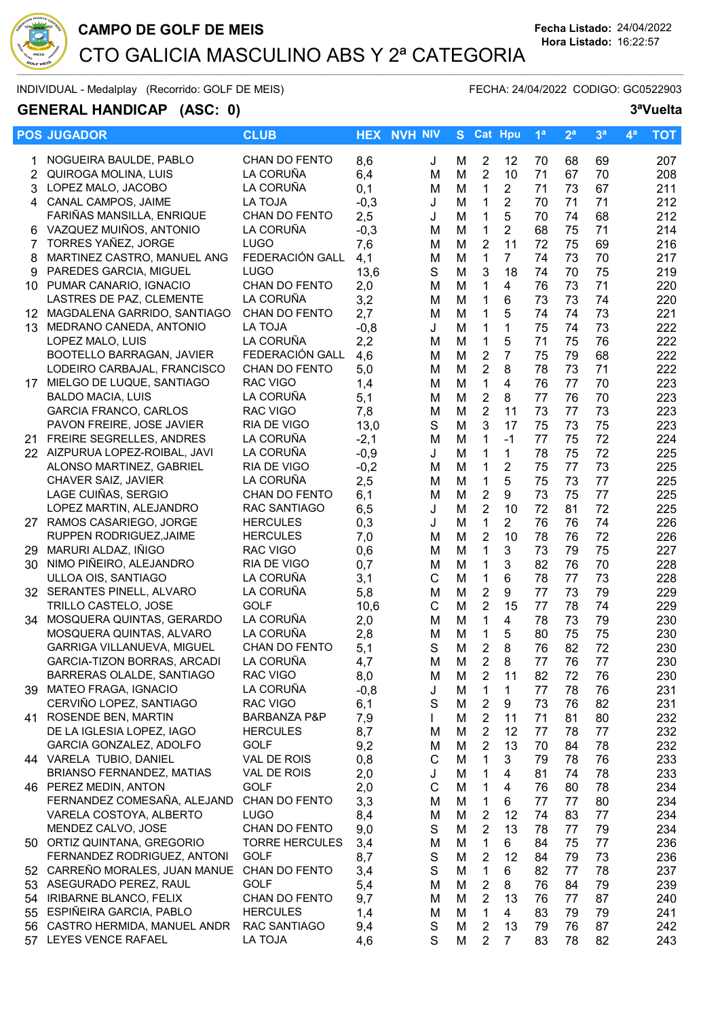

INDIVIDUAL - Medalplay (Recorrido: GOLF DE MEIS) FECHA: 24/04/2022 CODIGO: GC0522903

## GENERAL HANDICAP (ASC: 0) 3<sup>ª</sup>Vuelta

|                | <b>POS JUGADOR</b>                           | <b>CLUB</b>             |        | <b>HEX NVH NIV</b> | S. |                | <b>Cat Hpu</b> | 1 <sup>a</sup> | 2 <sup>a</sup> | 3 <sup>a</sup> | 4 <sup>a</sup> | <b>TOT</b> |
|----------------|----------------------------------------------|-------------------------|--------|--------------------|----|----------------|----------------|----------------|----------------|----------------|----------------|------------|
| 1              | NOGUEIRA BAULDE, PABLO                       | <b>CHAN DO FENTO</b>    | 8,6    | J                  | м  | $\overline{2}$ | 12             | 70             | 68             | 69             |                | 207        |
| $\overline{2}$ | QUIROGA MOLINA, LUIS                         | LA CORUÑA               | 6,4    | M                  | M  | $\overline{2}$ | 10             | 71             | 67             | 70             |                | 208        |
| 3              | LOPEZ MALO, JACOBO                           | LA CORUÑA               | 0,1    | M                  | M  | $\mathbf{1}$   | $\overline{2}$ | 71             | 73             | 67             |                | 211        |
| 4              | CANAL CAMPOS, JAIME                          | <b>LA TOJA</b>          | $-0,3$ | J                  | M  | $\mathbf 1$    | $\overline{2}$ | 70             | 71             | 71             |                | 212        |
|                | FARIÑAS MANSILLA, ENRIQUE                    | CHAN DO FENTO           | 2,5    | J                  | M  | $\mathbf 1$    | 5              | 70             | 74             | 68             |                | 212        |
|                | 6 VAZQUEZ MUIÑOS, ANTONIO                    | LA CORUÑA               | $-0,3$ | M                  | M  | 1              | $\overline{2}$ | 68             | 75             | 71             |                | 214        |
| 7              | TORRES YAÑEZ, JORGE                          | <b>LUGO</b>             | 7,6    | M                  | M  | $\overline{2}$ | 11             | 72             | 75             | 69             |                | 216        |
| 8              | MARTINEZ CASTRO, MANUEL ANG                  | FEDERACIÓN GALL         | 4,1    | M                  | M  | 1              | $\overline{7}$ | 74             | 73             | 70             |                | 217        |
| 9              | PAREDES GARCIA, MIGUEL                       | <b>LUGO</b>             | 13,6   | S                  | M  | 3              | 18             | 74             | 70             | 75             |                | 219        |
|                | 10 PUMAR CANARIO, IGNACIO                    | CHAN DO FENTO           | 2,0    | M                  | M  | $\mathbf 1$    | 4              | 76             | 73             | 71             |                | 220        |
|                | LASTRES DE PAZ, CLEMENTE                     | LA CORUÑA               | 3,2    | M                  | M  | $\mathbf 1$    | 6              | 73             | 73             | 74             |                | 220        |
| 12.            | MAGDALENA GARRIDO, SANTIAGO                  | CHAN DO FENTO           | 2,7    | M                  | M  | $\mathbf{1}$   | 5              | 74             | 74             | 73             |                | 221        |
| 13             | MEDRANO CANEDA, ANTONIO                      | LA TOJA                 | $-0,8$ | J                  | M  | $\mathbf 1$    | $\mathbf 1$    | 75             | 74             | 73             |                | 222        |
|                | LOPEZ MALO, LUIS                             | LA CORUÑA               | 2,2    | M                  | M  | $\mathbf{1}$   | 5              | 71             | 75             | 76             |                | 222        |
|                | BOOTELLO BARRAGAN, JAVIER                    | FEDERACIÓN GALL         | 4,6    | M                  | M  | $\overline{2}$ | $\overline{7}$ | 75             | 79             | 68             |                | 222        |
|                | LODEIRO CARBAJAL, FRANCISCO                  | CHAN DO FENTO           | 5,0    | M                  | M  | $\overline{2}$ | 8              | 78             | 73             | 71             |                | 222        |
|                | 17 MIELGO DE LUQUE, SANTIAGO                 | <b>RAC VIGO</b>         | 1,4    | M                  | M  | $\mathbf{1}$   | 4              | 76             | 77             | 70             |                | 223        |
|                | <b>BALDO MACIA, LUIS</b>                     | LA CORUÑA               | 5,1    | M                  | M  | $\overline{2}$ | 8              | 77             | 76             | 70             |                | 223        |
|                | <b>GARCIA FRANCO, CARLOS</b>                 | <b>RAC VIGO</b>         | 7,8    | M                  | M  | $\overline{2}$ | 11             | 73             | 77             | 73             |                | 223        |
|                | PAVON FREIRE, JOSE JAVIER                    | RIA DE VIGO             | 13,0   | S                  | M  | 3              | 17             | 75             | 73             | 75             |                | 223        |
|                | 21 FREIRE SEGRELLES, ANDRES                  | LA CORUÑA               | $-2,1$ | M                  | M  | $\mathbf 1$    | $-1$           | 77             | 75             | 72             |                | 224        |
|                | 22 AIZPURUA LOPEZ-ROIBAL, JAVI               | LA CORUÑA               | $-0,9$ | J                  | M  | 1              | $\mathbf 1$    | 78             | 75             | 72             |                | 225        |
|                | ALONSO MARTINEZ, GABRIEL                     | RIA DE VIGO             | $-0,2$ | M                  | M  | $\mathbf 1$    | $\overline{2}$ | 75             | 77             | 73             |                | 225        |
|                | CHAVER SAIZ, JAVIER                          | LA CORUÑA               | 2,5    | M                  | M  | $\mathbf{1}$   | 5              | 75             | 73             | 77             |                | 225        |
|                | LAGE CUIÑAS, SERGIO                          | CHAN DO FENTO           | 6,1    | M                  | M  | $\sqrt{2}$     | 9              | 73             | 75             | 77             |                | 225        |
|                | LOPEZ MARTIN, ALEJANDRO                      | RAC SANTIAGO            | 6,5    | J                  | M  | $\overline{2}$ | 10             | 72             | 81             | 72             |                | 225        |
|                | 27 RAMOS CASARIEGO, JORGE                    | <b>HERCULES</b>         | 0,3    | J                  | M  | $\mathbf{1}$   | $\overline{2}$ | 76             | 76             | 74             |                | 226        |
|                | RUPPEN RODRIGUEZ, JAIME                      | <b>HERCULES</b>         | 7,0    | M                  | M  | $\overline{2}$ | 10             | 78             | 76             | 72             |                | 226        |
| 29             | MARURI ALDAZ, IÑIGO                          | <b>RAC VIGO</b>         | 0,6    | M                  | M  | $\mathbf{1}$   | 3              | 73             | 79             | 75             |                | 227        |
|                | 30 NIMO PIÑEIRO, ALEJANDRO                   | RIA DE VIGO             | 0,7    | M                  | M  | 1              | 3              | 82             | 76             | 70             |                | 228        |
|                | ULLOA OIS, SANTIAGO                          | LA CORUÑA               | 3,1    | C                  | M  | 1              | 6              | 78             | 77             | 73             |                | 228        |
|                | 32 SERANTES PINELL, ALVARO                   | LA CORUÑA               | 5,8    | M                  | M  | $\overline{2}$ | 9              | 77             | 73             | 79             |                | 229        |
|                | TRILLO CASTELO, JOSE                         | <b>GOLF</b>             | 10,6   | С                  | M  | $\overline{2}$ | 15             | 77             | 78             | 74             |                | 229        |
| 34             | MOSQUERA QUINTAS, GERARDO                    | LA CORUÑA               | 2,0    | M                  | M  | $\mathbf 1$    | 4              | 78             | 73             | 79             |                | 230        |
|                | MOSQUERA QUINTAS, ALVARO                     | LA CORUÑA               | 2,8    | M                  | M  | 1              | 5              | 80             | 75             | 75             |                | 230        |
|                | GARRIGA VILLANUEVA, MIGUEL                   | CHAN DO FENTO           | 5,1    | S                  | M  | $\overline{2}$ | 8              | 76             | 82             | 72             |                | 230        |
|                | <b>GARCIA-TIZON BORRAS, ARCADI</b>           | LA CORUÑA               | 4,7    | M                  | M  | $\overline{2}$ | 8              | 77             | 76             | 77             |                | 230        |
|                | BARRERAS OLALDE, SANTIAGO                    | RAC VIGO                | 8,0    | M                  | M  | 2              | 11             | 82             | 72             | 76             |                | 230        |
|                | 39 MATEO FRAGA, IGNACIO                      | LA CORUÑA               | $-0,8$ | J                  | M  | 1              | 1              | 77             | 78             | 76             |                | 231        |
|                | CERVIÑO LOPEZ, SANTIAGO                      | RAC VIGO                | 6,1    | S                  | M  | $\overline{c}$ | 9              | 73             | 76             | 82             |                | 231        |
|                | 41 ROSENDE BEN, MARTIN                       | <b>BARBANZA P&amp;P</b> | 7,9    | $\mathbf{I}$       | M  | $\overline{2}$ | 11             | 71             | 81             | 80             |                | 232        |
|                | DE LA IGLESIA LOPEZ, IAGO                    | <b>HERCULES</b>         | 8,7    | M                  | M  | $\overline{2}$ | 12             | 77             | 78             | 77             |                | 232        |
|                | GARCIA GONZALEZ, ADOLFO                      | <b>GOLF</b>             | 9,2    | M                  | M  | $\overline{2}$ | 13             | 70             | 84             | 78             |                | 232        |
|                | 44 VARELA TUBIO, DANIEL                      | VAL DE ROIS             | 0,8    | C                  | M  | 1              | 3              | 79             | 78             | 76             |                | 233        |
|                | BRIANSO FERNANDEZ, MATIAS                    | VAL DE ROIS             | 2,0    | J                  | M  | 1              | 4              | 81             | 74             | 78             |                | 233        |
|                | 46 PEREZ MEDIN, ANTON                        | <b>GOLF</b>             | 2,0    | C                  | M  | 1              | 4              | 76             | 80             | 78             |                | 234        |
|                | FERNANDEZ COMESAÑA, ALEJAND                  | CHAN DO FENTO           | 3,3    | M                  | M  | 1              | 6              | 77             | 77             | 80             |                | 234        |
|                | VARELA COSTOYA, ALBERTO                      | <b>LUGO</b>             | 8,4    | M                  | M  | $\overline{2}$ | 12             | 74             | 83             | 77             |                | 234        |
|                | MENDEZ CALVO, JOSE                           | CHAN DO FENTO           | 9,0    | S                  | M  | $\overline{2}$ | 13             | 78             | 77             | 79             |                | 234        |
|                | 50 ORTIZ QUINTANA, GREGORIO                  | <b>TORRE HERCULES</b>   | 3,4    | M                  | M  | 1              | 6              | 84             | 75             | 77             |                | 236        |
|                | FERNANDEZ RODRIGUEZ, ANTONI                  | GOLF                    | 8,7    | S                  | M  | $\overline{2}$ | 12             | 84             | 79             | 73             |                | 236        |
|                | 52 CARREÑO MORALES, JUAN MANUE CHAN DO FENTO |                         | 3,4    | S                  | M  | $\mathbf{1}$   | 6              | 82             | 77             | 78             |                | 237        |
|                | 53 ASEGURADO PEREZ, RAUL                     | <b>GOLF</b>             | 5,4    | M                  | M  | $\overline{2}$ | 8              | 76             | 84             | 79             |                | 239        |
| 54             | IRIBARNE BLANCO, FELIX                       | CHAN DO FENTO           | 9,7    | M                  | M  | $\overline{2}$ | 13             | 76             | 77             | 87             |                | 240        |
| 55             | ESPIÑEIRA GARCIA, PABLO                      | <b>HERCULES</b>         | 1,4    | M                  | M  | 1              | 4              | 83             | 79             | 79             |                | 241        |
| 56             | CASTRO HERMIDA, MANUEL ANDR                  | RAC SANTIAGO            | 9,4    | S                  | M  | $\overline{2}$ | 13             | 79             | 76             | 87             |                | 242        |
|                | 57 LEYES VENCE RAFAEL                        | LA TOJA                 | 4,6    | S                  | M  | $\overline{2}$ | $\overline{7}$ | 83             | 78             | 82             |                | 243        |